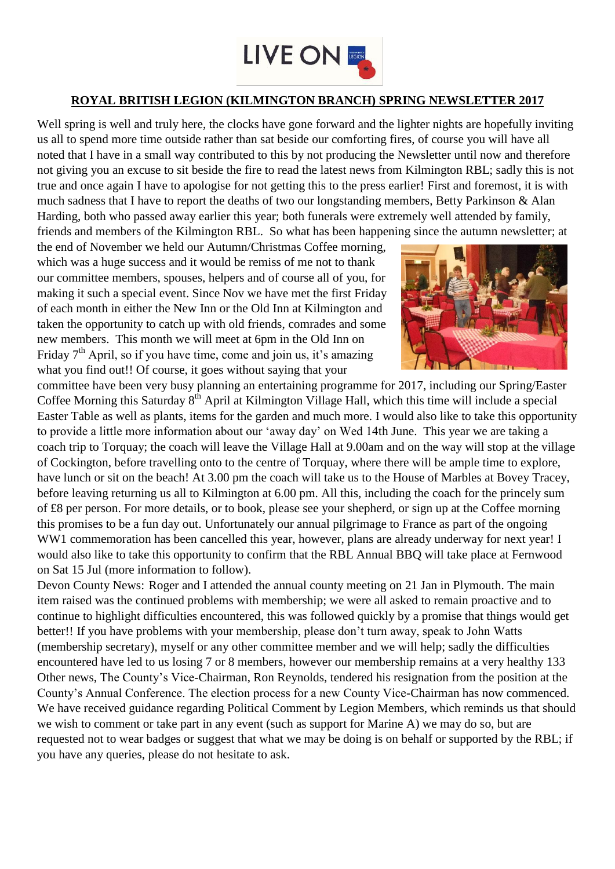

## **ROYAL BRITISH LEGION (KILMINGTON BRANCH) SPRING NEWSLETTER 2017**

Well spring is well and truly here, the clocks have gone forward and the lighter nights are hopefully inviting us all to spend more time outside rather than sat beside our comforting fires, of course you will have all noted that I have in a small way contributed to this by not producing the Newsletter until now and therefore not giving you an excuse to sit beside the fire to read the latest news from Kilmington RBL; sadly this is not true and once again I have to apologise for not getting this to the press earlier! First and foremost, it is with much sadness that I have to report the deaths of two our longstanding members, Betty Parkinson & Alan Harding, both who passed away earlier this year; both funerals were extremely well attended by family,

friends and members of the Kilmington RBL. So what has been happening since the autumn newsletter; at the end of November we held our Autumn/Christmas Coffee morning,

which was a huge success and it would be remiss of me not to thank our committee members, spouses, helpers and of course all of you, for making it such a special event. Since Nov we have met the first Friday of each month in either the New Inn or the Old Inn at Kilmington and taken the opportunity to catch up with old friends, comrades and some new members. This month we will meet at 6pm in the Old Inn on Friday  $7<sup>th</sup>$  April, so if you have time, come and join us, it's amazing what you find out!! Of course, it goes without saying that your



committee have been very busy planning an entertaining programme for 2017, including our Spring/Easter Coffee Morning this Saturday 8<sup>th</sup> April at Kilmington Village Hall, which this time will include a special Easter Table as well as plants, items for the garden and much more. I would also like to take this opportunity to provide a little more information about our 'away day' on Wed 14th June. This year we are taking a coach trip to Torquay; the coach will leave the Village Hall at 9.00am and on the way will stop at the village of Cockington, before travelling onto to the centre of Torquay, where there will be ample time to explore, have lunch or sit on the beach! At 3.00 pm the coach will take us to the House of Marbles at Bovey Tracey, before leaving returning us all to Kilmington at 6.00 pm. All this, including the coach for the princely sum of £8 per person. For more details, or to book, please see your shepherd, or sign up at the Coffee morning this promises to be a fun day out. Unfortunately our annual pilgrimage to France as part of the ongoing WW1 commemoration has been cancelled this year, however, plans are already underway for next year! I would also like to take this opportunity to confirm that the RBL Annual BBQ will take place at Fernwood on Sat 15 Jul (more information to follow).

Devon County News: Roger and I attended the annual county meeting on 21 Jan in Plymouth. The main item raised was the continued problems with membership; we were all asked to remain proactive and to continue to highlight difficulties encountered, this was followed quickly by a promise that things would get better!! If you have problems with your membership, please don't turn away, speak to John Watts (membership secretary), myself or any other committee member and we will help; sadly the difficulties encountered have led to us losing 7 or 8 members, however our membership remains at a very healthy 133 Other news, The County's Vice-Chairman, Ron Reynolds, tendered his resignation from the position at the County's Annual Conference. The election process for a new County Vice-Chairman has now commenced. We have received guidance regarding Political Comment by Legion Members, which reminds us that should we wish to comment or take part in any event (such as support for Marine A) we may do so, but are requested not to wear badges or suggest that what we may be doing is on behalf or supported by the RBL; if you have any queries, please do not hesitate to ask.